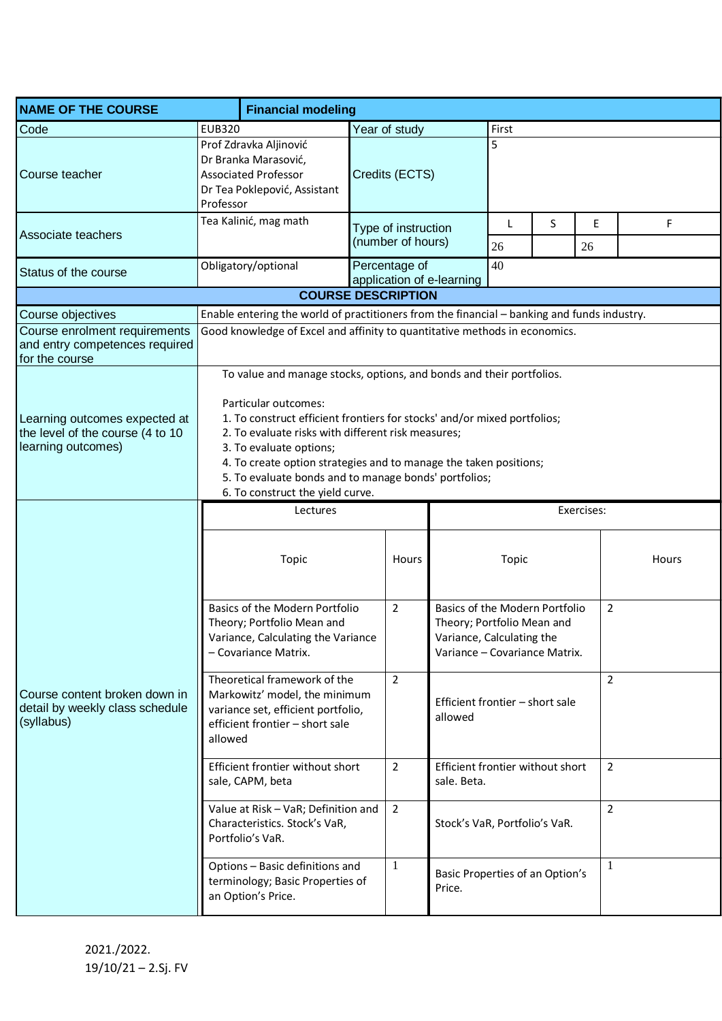| <b>NAME OF THE COURSE</b>                                                               | <b>Financial modeling</b>                                                                                                                                                                                                                                                                                                                                                                                                   |                                            |                                                 |                                                                                                                            |                |                |       |  |
|-----------------------------------------------------------------------------------------|-----------------------------------------------------------------------------------------------------------------------------------------------------------------------------------------------------------------------------------------------------------------------------------------------------------------------------------------------------------------------------------------------------------------------------|--------------------------------------------|-------------------------------------------------|----------------------------------------------------------------------------------------------------------------------------|----------------|----------------|-------|--|
| Code                                                                                    | <b>EUB320</b>                                                                                                                                                                                                                                                                                                                                                                                                               | Year of study                              | First                                           |                                                                                                                            |                |                |       |  |
| Course teacher                                                                          | Prof Zdravka Aljinović<br>Dr Branka Marasović,<br><b>Associated Professor</b><br>Dr Tea Poklepović, Assistant<br>Professor                                                                                                                                                                                                                                                                                                  | Credits (ECTS)                             |                                                 | 5                                                                                                                          |                |                |       |  |
| Associate teachers                                                                      | Tea Kalinić, mag math                                                                                                                                                                                                                                                                                                                                                                                                       | Type of instruction<br>(number of hours)   | 26                                              | S                                                                                                                          | Е<br>26        | F              |       |  |
| Status of the course                                                                    | Obligatory/optional                                                                                                                                                                                                                                                                                                                                                                                                         | Percentage of<br>application of e-learning | 40                                              |                                                                                                                            |                |                |       |  |
|                                                                                         |                                                                                                                                                                                                                                                                                                                                                                                                                             | <b>COURSE DESCRIPTION</b>                  |                                                 |                                                                                                                            |                |                |       |  |
| Course objectives                                                                       | Enable entering the world of practitioners from the financial - banking and funds industry.                                                                                                                                                                                                                                                                                                                                 |                                            |                                                 |                                                                                                                            |                |                |       |  |
| Course enrolment requirements<br>and entry competences required<br>for the course       | Good knowledge of Excel and affinity to quantitative methods in economics.                                                                                                                                                                                                                                                                                                                                                  |                                            |                                                 |                                                                                                                            |                |                |       |  |
| Learning outcomes expected at<br>the level of the course (4 to 10<br>learning outcomes) | To value and manage stocks, options, and bonds and their portfolios.<br>Particular outcomes:<br>1. To construct efficient frontiers for stocks' and/or mixed portfolios;<br>2. To evaluate risks with different risk measures;<br>3. To evaluate options;<br>4. To create option strategies and to manage the taken positions;<br>5. To evaluate bonds and to manage bonds' portfolios;<br>6. To construct the yield curve. |                                            |                                                 |                                                                                                                            |                |                |       |  |
|                                                                                         | Lectures                                                                                                                                                                                                                                                                                                                                                                                                                    |                                            |                                                 | Exercises:                                                                                                                 |                |                |       |  |
| Course content broken down in<br>detail by weekly class schedule<br>(syllabus)          | Topic                                                                                                                                                                                                                                                                                                                                                                                                                       | Hours                                      |                                                 | Topic                                                                                                                      |                |                | Hours |  |
|                                                                                         | Basics of the Modern Portfolio<br>Theory; Portfolio Mean and<br>Variance, Calculating the Variance<br>- Covariance Matrix.                                                                                                                                                                                                                                                                                                  | $\overline{2}$                             |                                                 | Basics of the Modern Portfolio<br>Theory; Portfolio Mean and<br>Variance, Calculating the<br>Variance - Covariance Matrix. |                | $\overline{2}$ |       |  |
|                                                                                         | Theoretical framework of the<br>Markowitz' model, the minimum<br>variance set, efficient portfolio,<br>efficient frontier - short sale<br>allowed                                                                                                                                                                                                                                                                           | $\overline{2}$                             | Efficient frontier - short sale<br>allowed      |                                                                                                                            | $\overline{2}$ |                |       |  |
|                                                                                         | Efficient frontier without short<br>sale, CAPM, beta                                                                                                                                                                                                                                                                                                                                                                        | $\overline{2}$                             | Efficient frontier without short<br>sale. Beta. |                                                                                                                            | $\overline{2}$ |                |       |  |
|                                                                                         | Value at Risk - VaR; Definition and<br>Characteristics. Stock's VaR,<br>Portfolio's VaR.                                                                                                                                                                                                                                                                                                                                    | $\overline{2}$                             | Stock's VaR, Portfolio's VaR.                   |                                                                                                                            |                | $\overline{2}$ |       |  |
|                                                                                         | Options - Basic definitions and<br>terminology; Basic Properties of<br>an Option's Price.                                                                                                                                                                                                                                                                                                                                   | 1                                          | Price.                                          | 1<br>Basic Properties of an Option's                                                                                       |                |                |       |  |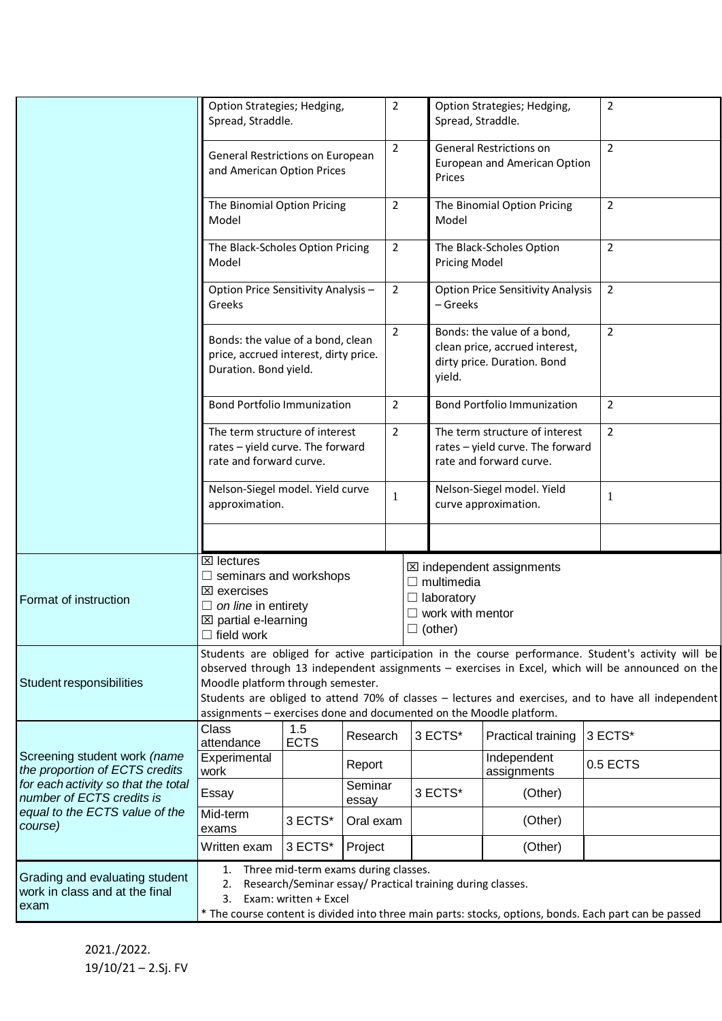|                                                                                                                                                                                 | Option Strategies; Hedging,<br>Spread, Straddle.                                                                                                                                                                                                                                                                                                                                                                           |                    | $\overline{2}$   | Spread, Straddle. |                                                                                               | Option Strategies; Hedging,                                                                                             |                                                                                              | $\overline{2}$ |                |  |
|---------------------------------------------------------------------------------------------------------------------------------------------------------------------------------|----------------------------------------------------------------------------------------------------------------------------------------------------------------------------------------------------------------------------------------------------------------------------------------------------------------------------------------------------------------------------------------------------------------------------|--------------------|------------------|-------------------|-----------------------------------------------------------------------------------------------|-------------------------------------------------------------------------------------------------------------------------|----------------------------------------------------------------------------------------------|----------------|----------------|--|
|                                                                                                                                                                                 | General Restrictions on European<br>and American Option Prices                                                                                                                                                                                                                                                                                                                                                             |                    | $\overline{2}$   | Prices            |                                                                                               | <b>General Restrictions on</b><br>European and American Option                                                          |                                                                                              | $\overline{2}$ |                |  |
|                                                                                                                                                                                 | The Binomial Option Pricing<br>Model                                                                                                                                                                                                                                                                                                                                                                                       |                    | $\mathbf 2$      |                   | The Binomial Option Pricing<br>Model                                                          |                                                                                                                         |                                                                                              | $\overline{2}$ |                |  |
|                                                                                                                                                                                 | The Black-Scholes Option Pricing<br>Model                                                                                                                                                                                                                                                                                                                                                                                  |                    |                  | $\mathbf 2$       |                                                                                               | <b>Pricing Model</b>                                                                                                    | The Black-Scholes Option                                                                     |                | $\overline{2}$ |  |
|                                                                                                                                                                                 | Option Price Sensitivity Analysis-<br>Greeks                                                                                                                                                                                                                                                                                                                                                                               |                    |                  | $\overline{2}$    | - Greeks                                                                                      |                                                                                                                         | <b>Option Price Sensitivity Analysis</b>                                                     |                | $\overline{2}$ |  |
|                                                                                                                                                                                 | Bonds: the value of a bond, clean<br>price, accrued interest, dirty price.<br>Duration. Bond yield.                                                                                                                                                                                                                                                                                                                        |                    |                  | $\overline{2}$    | yield.                                                                                        |                                                                                                                         | Bonds: the value of a bond,<br>clean price, accrued interest,<br>dirty price. Duration. Bond |                | $\overline{2}$ |  |
|                                                                                                                                                                                 | <b>Bond Portfolio Immunization</b>                                                                                                                                                                                                                                                                                                                                                                                         |                    |                  | $\overline{2}$    |                                                                                               | <b>Bond Portfolio Immunization</b>                                                                                      |                                                                                              |                | $\overline{2}$ |  |
|                                                                                                                                                                                 | The term structure of interest<br>rates - yield curve. The forward<br>rate and forward curve.                                                                                                                                                                                                                                                                                                                              |                    | $\overline{2}$   |                   | The term structure of interest<br>rates - yield curve. The forward<br>rate and forward curve. |                                                                                                                         |                                                                                              | $\overline{2}$ |                |  |
|                                                                                                                                                                                 | Nelson-Siegel model. Yield curve<br>approximation.                                                                                                                                                                                                                                                                                                                                                                         |                    | $\mathbf{1}$     |                   |                                                                                               | Nelson-Siegel model. Yield<br>curve approximation.                                                                      |                                                                                              | 1              |                |  |
|                                                                                                                                                                                 |                                                                                                                                                                                                                                                                                                                                                                                                                            |                    |                  |                   |                                                                                               |                                                                                                                         |                                                                                              |                |                |  |
| Format of instruction                                                                                                                                                           | $\boxtimes$ lectures<br>$\Box$ seminars and workshops<br>$\boxtimes$ exercises<br>$\Box$ on line in entirety<br>$\boxtimes$ partial e-learning<br>$\Box$ field work                                                                                                                                                                                                                                                        |                    |                  |                   |                                                                                               | <b>⊠</b> independent assignments<br>$\Box$ multimedia<br>$\Box$ laboratory<br>$\Box$ work with mentor<br>$\Box$ (other) |                                                                                              |                |                |  |
| Student responsibilities                                                                                                                                                        | Students are obliged for active participation in the course performance. Student's activity will be<br>observed through 13 independent assignments - exercises in Excel, which will be announced on the<br>Moodle platform through semester.<br>Students are obliged to attend 70% of classes - lectures and exercises, and to have all independent<br>assignments - exercises done and documented on the Moodle platform. |                    |                  |                   |                                                                                               |                                                                                                                         |                                                                                              |                |                |  |
| Screening student work (name<br>the proportion of ECTS credits<br>for each activity so that the total<br>number of ECTS credits is<br>equal to the ECTS value of the<br>course) | Class<br>attendance                                                                                                                                                                                                                                                                                                                                                                                                        | 1.5<br><b>ECTS</b> | Research         |                   | 3 ECTS*<br>Practical training                                                                 |                                                                                                                         | 3 ECTS*                                                                                      |                |                |  |
|                                                                                                                                                                                 | Experimental<br>work                                                                                                                                                                                                                                                                                                                                                                                                       | Report             |                  |                   |                                                                                               |                                                                                                                         | Independent<br>assignments                                                                   |                | 0.5 ECTS       |  |
|                                                                                                                                                                                 | Essay                                                                                                                                                                                                                                                                                                                                                                                                                      |                    | Seminar<br>essay |                   |                                                                                               | 3 ECTS*                                                                                                                 | (Other)                                                                                      |                |                |  |
|                                                                                                                                                                                 | Mid-term<br>exams                                                                                                                                                                                                                                                                                                                                                                                                          | 3 ECTS*            | Oral exam        |                   |                                                                                               |                                                                                                                         | (Other)                                                                                      |                |                |  |
|                                                                                                                                                                                 | Written exam                                                                                                                                                                                                                                                                                                                                                                                                               | 3 ECTS*            | Project          |                   |                                                                                               |                                                                                                                         | (Other)                                                                                      |                |                |  |
| Grading and evaluating student<br>work in class and at the final<br>exam                                                                                                        | 1. Three mid-term exams during classes.<br>2. Research/Seminar essay/ Practical training during classes.<br>3. Exam: written + Excel<br>* The course content is divided into three main parts: stocks, options, bonds. Each part can be passed                                                                                                                                                                             |                    |                  |                   |                                                                                               |                                                                                                                         |                                                                                              |                |                |  |